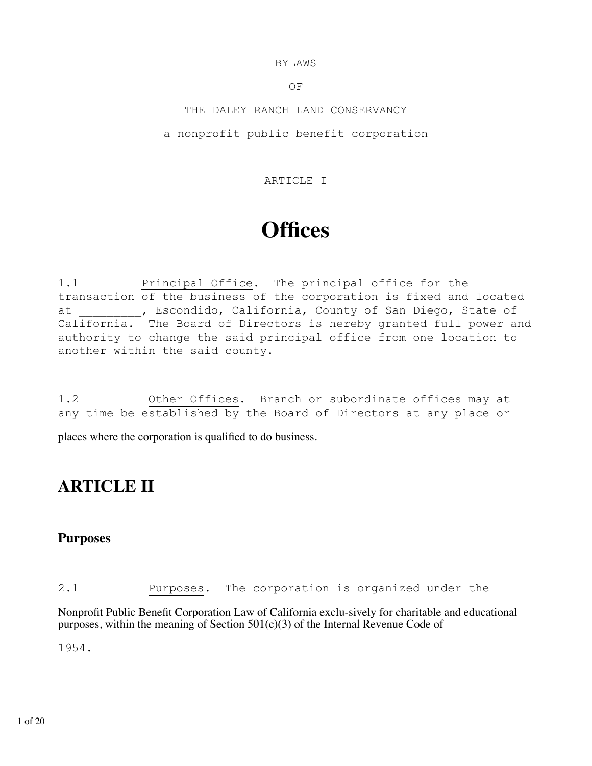#### BYLAWS

OF

THE DALEY RANCH LAND CONSERVANCY a nonprofit public benefit corporation

#### ARTICLE I

# **Offices**

1.1 Principal Office. The principal office for the transaction of the business of the corporation is fixed and located at Fig. 2. The Secondido, California, County of San Diego, State of California. The Board of Directors is hereby granted full power and authority to change the said principal office from one location to another within the said county.

1.2 Other Offices. Branch or subordinate offices may at any time be established by the Board of Directors at any place or

places where the corporation is qualified to do business.

# **ARTICLE II**

# **Purposes**

2.1 Purposes. The corporation is organized under the

Nonprofit Public Benefit Corporation Law of California exclu-sively for charitable and educational purposes, within the meaning of Section  $501(c)(3)$  of the Internal Revenue Code of

1954.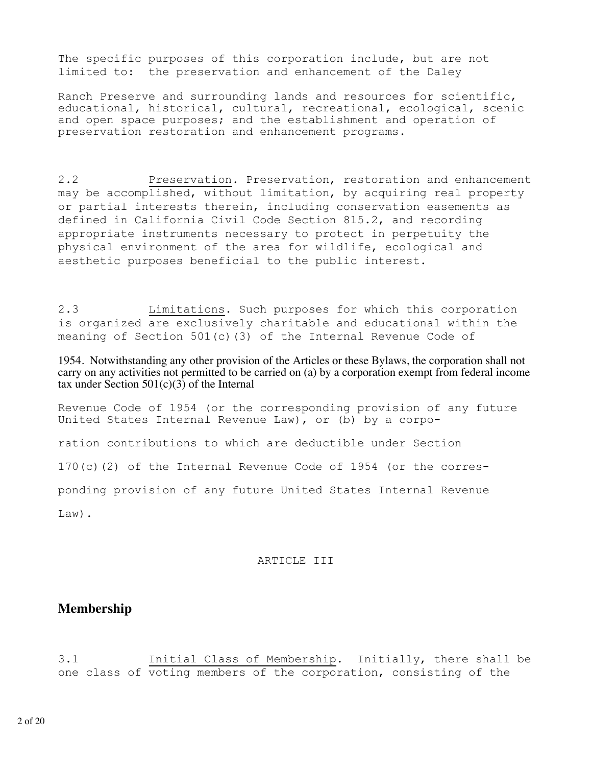The specific purposes of this corporation include, but are not limited to: the preservation and enhancement of the Daley

Ranch Preserve and surrounding lands and resources for scientific, educational, historical, cultural, recreational, ecological, scenic and open space purposes; and the establishment and operation of preservation restoration and enhancement programs.

2.2 Preservation. Preservation, restoration and enhancement may be accomplished, without limitation, by acquiring real property or partial interests therein, including conservation easements as defined in California Civil Code Section 815.2, and recording appropriate instruments necessary to protect in perpetuity the physical environment of the area for wildlife, ecological and aesthetic purposes beneficial to the public interest.

2.3 Limitations. Such purposes for which this corporation is organized are exclusively charitable and educational within the meaning of Section 501(c)(3) of the Internal Revenue Code of

1954. Notwithstanding any other provision of the Articles or these Bylaws, the corporation shall not carry on any activities not permitted to be carried on (a) by a corporation exempt from federal income tax under Section  $501(c)(3)$  of the Internal

Revenue Code of 1954 (or the corresponding provision of any future United States Internal Revenue Law), or (b) by a corpo-

ration contributions to which are deductible under Section

170(c)(2) of the Internal Revenue Code of 1954 (or the corres-

ponding provision of any future United States Internal Revenue

Law).

#### ARTICLE III

### **Membership**

3.1 Initial Class of Membership. Initially, there shall be one class of voting members of the corporation, consisting of the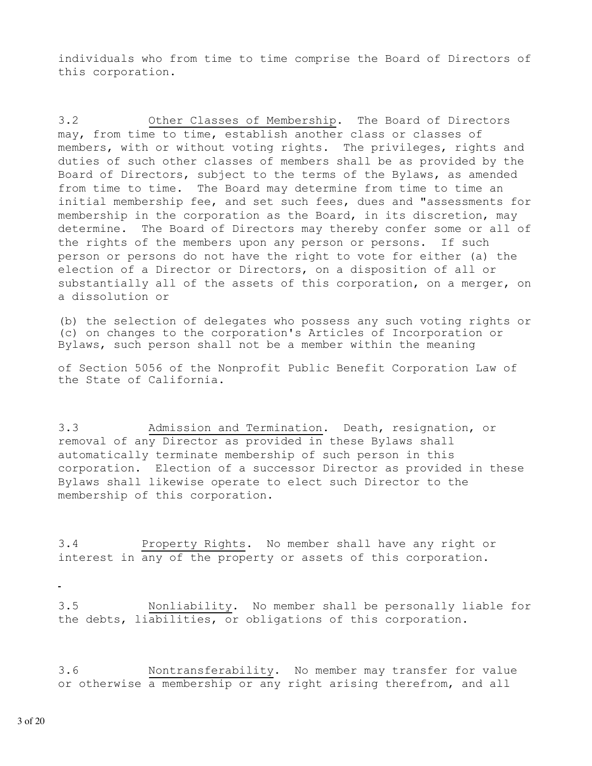individuals who from time to time comprise the Board of Directors of this corporation.

3.2 Other Classes of Membership. The Board of Directors may, from time to time, establish another class or classes of members, with or without voting rights. The privileges, rights and duties of such other classes of members shall be as provided by the Board of Directors, subject to the terms of the Bylaws, as amended from time to time. The Board may determine from time to time an initial membership fee, and set such fees, dues and "assessments for membership in the corporation as the Board, in its discretion, may determine. The Board of Directors may thereby confer some or all of the rights of the members upon any person or persons. If such person or persons do not have the right to vote for either (a) the election of a Director or Directors, on a disposition of all or substantially all of the assets of this corporation, on a merger, on a dissolution or

(b) the selection of delegates who possess any such voting rights or (c) on changes to the corporation's Articles of Incorporation or Bylaws, such person shall not be a member within the meaning

of Section 5056 of the Nonprofit Public Benefit Corporation Law of the State of California.

3.3 Admission and Termination. Death, resignation, or removal of any Director as provided in these Bylaws shall automatically terminate membership of such person in this corporation. Election of a successor Director as provided in these Bylaws shall likewise operate to elect such Director to the membership of this corporation.

3.4 Property Rights. No member shall have any right or interest in any of the property or assets of this corporation.

3.5 Nonliability. No member shall be personally liable for the debts, liabilities, or obligations of this corporation.

3.6 Nontransferability. No member may transfer for value or otherwise a membership or any right arising therefrom, and all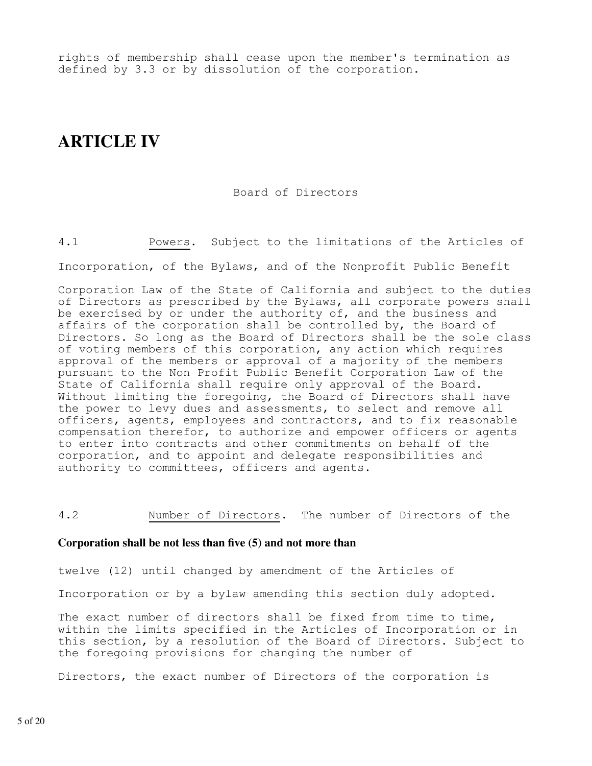rights of membership shall cease upon the member's termination as defined by 3.3 or by dissolution of the corporation.

# **ARTICLE IV**

#### Board of Directors

4.1 Powers. Subject to the limitations of the Articles of Incorporation, of the Bylaws, and of the Nonprofit Public Benefit

Corporation Law of the State of California and subject to the duties of Directors as prescribed by the Bylaws, all corporate powers shall be exercised by or under the authority of, and the business and affairs of the corporation shall be controlled by, the Board of Directors. So long as the Board of Directors shall be the sole class of voting members of this corporation, any action which requires approval of the members or approval of a majority of the members pursuant to the Non Profit Public Benefit Corporation Law of the State of California shall require only approval of the Board. Without limiting the foregoing, the Board of Directors shall have the power to levy dues and assessments, to select and remove all officers, agents, employees and contractors, and to fix reasonable compensation therefor, to authorize and empower officers or agents to enter into contracts and other commitments on behalf of the corporation, and to appoint and delegate responsibilities and authority to committees, officers and agents.

4.2 Number of Directors. The number of Directors of the

#### **Corporation shall be not less than five (5) and not more than**

twelve (12) until changed by amendment of the Articles of

Incorporation or by a bylaw amending this section duly adopted.

The exact number of directors shall be fixed from time to time, within the limits specified in the Articles of Incorporation or in this section, by a resolution of the Board of Directors. Subject to the foregoing provisions for changing the number of

Directors, the exact number of Directors of the corporation is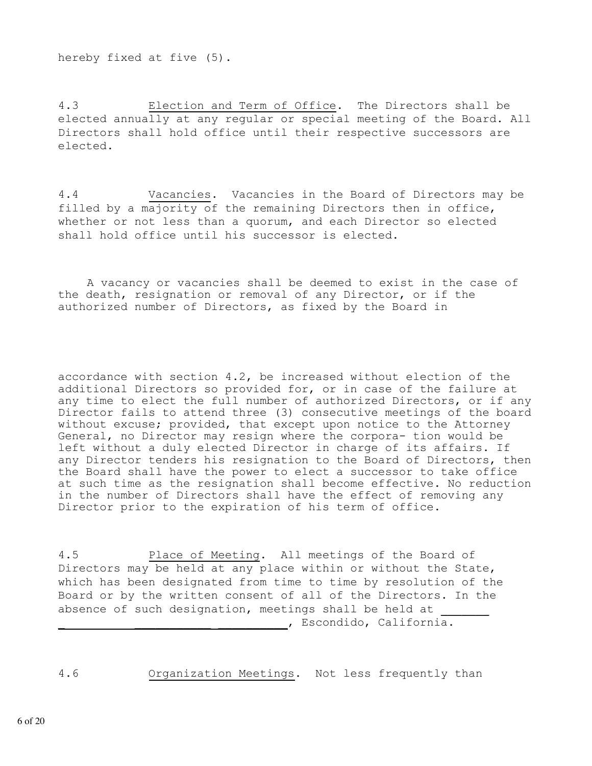hereby fixed at five (5).

4.3 Election and Term of Office. The Directors shall be elected annually at any regular or special meeting of the Board. All Directors shall hold office until their respective successors are elected.

4.4 Vacancies. Vacancies in the Board of Directors may be filled by a majority of the remaining Directors then in office, whether or not less than a quorum, and each Director so elected shall hold office until his successor is elected.

 A vacancy or vacancies shall be deemed to exist in the case of the death, resignation or removal of any Director, or if the authorized number of Directors, as fixed by the Board in

accordance with section 4.2, be increased without election of the additional Directors so provided for, or in case of the failure at any time to elect the full number of authorized Directors, or if any Director fails to attend three (3) consecutive meetings of the board without excuse; provided, that except upon notice to the Attorney General, no Director may resign where the corpora- tion would be left without a duly elected Director in charge of its affairs. If any Director tenders his resignation to the Board of Directors, then the Board shall have the power to elect a successor to take office at such time as the resignation shall become effective. No reduction in the number of Directors shall have the effect of removing any Director prior to the expiration of his term of office.

4.5 Place of Meeting. All meetings of the Board of Directors may be held at any place within or without the State, which has been designated from time to time by resolution of the Board or by the written consent of all of the Directors. In the absence of such designation, meetings shall be held at , Escondido, California.

4.6 Organization Meetings. Not less frequently than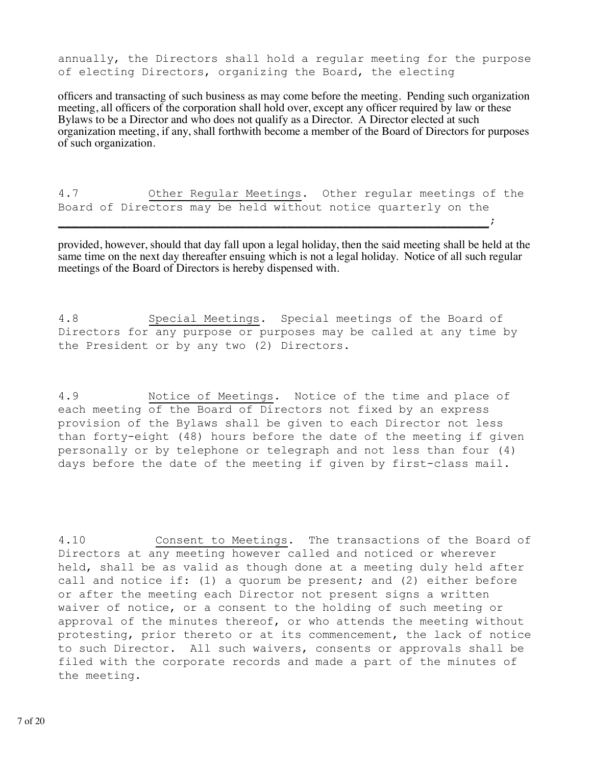annually, the Directors shall hold a regular meeting for the purpose of electing Directors, organizing the Board, the electing

officers and transacting of such business as may come before the meeting. Pending such organization meeting, all officers of the corporation shall hold over, except any officer required by law or these Bylaws to be a Director and who does not qualify as a Director. A Director elected at such organization meeting, if any, shall forthwith become a member of the Board of Directors for purposes of such organization.

4.7 Other Regular Meetings. Other regular meetings of the Board of Directors may be held without notice quarterly on the  $\overline{\phantom{a}}$  , and the contract of the contract of the contract of the contract of the contract of the contract of the contract of the contract of the contract of the contract of the contract of the contract of the contrac

provided, however, should that day fall upon a legal holiday, then the said meeting shall be held at the same time on the next day thereafter ensuing which is not a legal holiday. Notice of all such regular meetings of the Board of Directors is hereby dispensed with.

4.8 Special Meetings. Special meetings of the Board of Directors for any purpose or purposes may be called at any time by the President or by any two (2) Directors.

4.9 Notice of Meetings. Notice of the time and place of each meeting of the Board of Directors not fixed by an express provision of the Bylaws shall be given to each Director not less than forty-eight (48) hours before the date of the meeting if given personally or by telephone or telegraph and not less than four (4) days before the date of the meeting if given by first-class mail.

4.10 Consent to Meetings. The transactions of the Board of Directors at any meeting however called and noticed or wherever held, shall be as valid as though done at a meeting duly held after call and notice if: (1) a quorum be present; and (2) either before or after the meeting each Director not present signs a written waiver of notice, or a consent to the holding of such meeting or approval of the minutes thereof, or who attends the meeting without protesting, prior thereto or at its commencement, the lack of notice to such Director. All such waivers, consents or approvals shall be filed with the corporate records and made a part of the minutes of the meeting.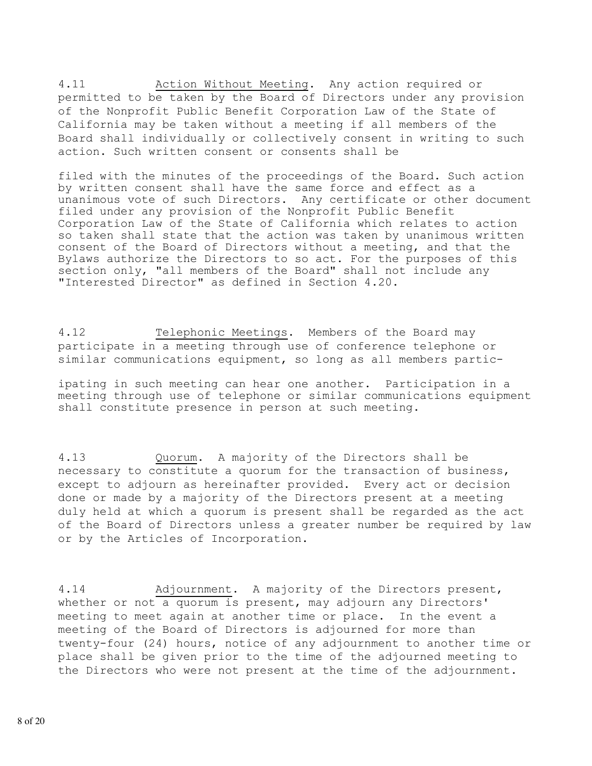4.11 Action Without Meeting. Any action required or permitted to be taken by the Board of Directors under any provision of the Nonprofit Public Benefit Corporation Law of the State of California may be taken without a meeting if all members of the Board shall individually or collectively consent in writing to such action. Such written consent or consents shall be

filed with the minutes of the proceedings of the Board. Such action by written consent shall have the same force and effect as a unanimous vote of such Directors. Any certificate or other document filed under any provision of the Nonprofit Public Benefit Corporation Law of the State of California which relates to action so taken shall state that the action was taken by unanimous written consent of the Board of Directors without a meeting, and that the Bylaws authorize the Directors to so act. For the purposes of this section only, "all members of the Board" shall not include any "Interested Director" as defined in Section 4.20.

4.12 Telephonic Meetings. Members of the Board may participate in a meeting through use of conference telephone or similar communications equipment, so long as all members partic-

ipating in such meeting can hear one another. Participation in a meeting through use of telephone or similar communications equipment shall constitute presence in person at such meeting.

4.13 Quorum. A majority of the Directors shall be necessary to constitute a quorum for the transaction of business, except to adjourn as hereinafter provided. Every act or decision done or made by a majority of the Directors present at a meeting duly held at which a quorum is present shall be regarded as the act of the Board of Directors unless a greater number be required by law or by the Articles of Incorporation.

4.14 Adjournment. A majority of the Directors present, whether or not a quorum is present, may adjourn any Directors' meeting to meet again at another time or place. In the event a meeting of the Board of Directors is adjourned for more than twenty-four (24) hours, notice of any adjournment to another time or place shall be given prior to the time of the adjourned meeting to the Directors who were not present at the time of the adjournment.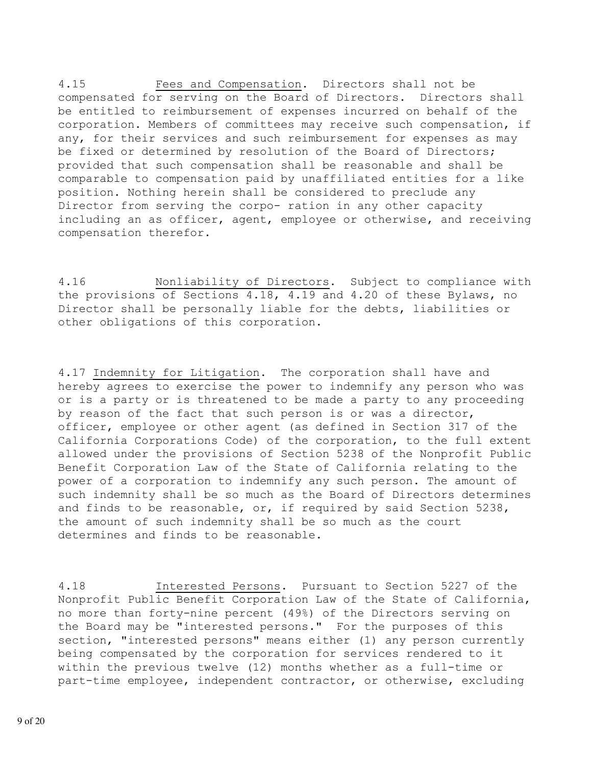4.15 Fees and Compensation. Directors shall not be compensated for serving on the Board of Directors. Directors shall be entitled to reimbursement of expenses incurred on behalf of the corporation. Members of committees may receive such compensation, if any, for their services and such reimbursement for expenses as may be fixed or determined by resolution of the Board of Directors; provided that such compensation shall be reasonable and shall be comparable to compensation paid by unaffiliated entities for a like position. Nothing herein shall be considered to preclude any Director from serving the corpo- ration in any other capacity including an as officer, agent, employee or otherwise, and receiving compensation therefor.

4.16 Nonliability of Directors. Subject to compliance with the provisions of Sections 4.18, 4.19 and 4.20 of these Bylaws, no Director shall be personally liable for the debts, liabilities or other obligations of this corporation.

4.17 Indemnity for Litigation. The corporation shall have and hereby agrees to exercise the power to indemnify any person who was or is a party or is threatened to be made a party to any proceeding by reason of the fact that such person is or was a director, officer, employee or other agent (as defined in Section 317 of the California Corporations Code) of the corporation, to the full extent allowed under the provisions of Section 5238 of the Nonprofit Public Benefit Corporation Law of the State of California relating to the power of a corporation to indemnify any such person. The amount of such indemnity shall be so much as the Board of Directors determines and finds to be reasonable, or, if required by said Section 5238, the amount of such indemnity shall be so much as the court determines and finds to be reasonable.

4.18 Interested Persons. Pursuant to Section 5227 of the Nonprofit Public Benefit Corporation Law of the State of California, no more than forty-nine percent (49%) of the Directors serving on the Board may be "interested persons." For the purposes of this section, "interested persons" means either (1) any person currently being compensated by the corporation for services rendered to it within the previous twelve (12) months whether as a full-time or part-time employee, independent contractor, or otherwise, excluding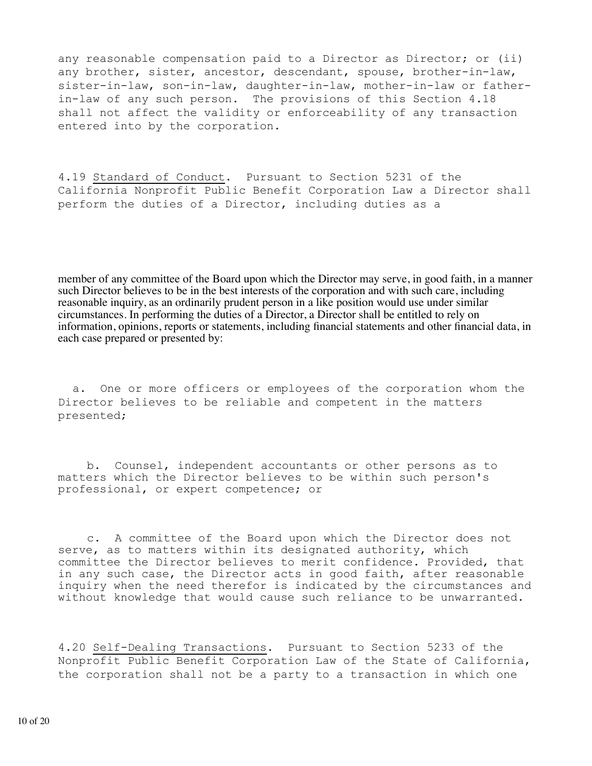any reasonable compensation paid to a Director as Director; or (ii) any brother, sister, ancestor, descendant, spouse, brother-in-law, sister-in-law, son-in-law, daughter-in-law, mother-in-law or fatherin-law of any such person. The provisions of this Section 4.18 shall not affect the validity or enforceability of any transaction entered into by the corporation.

4.19 Standard of Conduct. Pursuant to Section 5231 of the California Nonprofit Public Benefit Corporation Law a Director shall perform the duties of a Director, including duties as a

member of any committee of the Board upon which the Director may serve, in good faith, in a manner such Director believes to be in the best interests of the corporation and with such care, including reasonable inquiry, as an ordinarily prudent person in a like position would use under similar circumstances. In performing the duties of a Director, a Director shall be entitled to rely on information, opinions, reports or statements, including financial statements and other financial data, in each case prepared or presented by:

 a. One or more officers or employees of the corporation whom the Director believes to be reliable and competent in the matters presented;

 b. Counsel, independent accountants or other persons as to matters which the Director believes to be within such person's professional, or expert competence; or

 c. A committee of the Board upon which the Director does not serve, as to matters within its designated authority, which committee the Director believes to merit confidence. Provided, that in any such case, the Director acts in good faith, after reasonable inquiry when the need therefor is indicated by the circumstances and without knowledge that would cause such reliance to be unwarranted.

4.20 Self-Dealing Transactions. Pursuant to Section 5233 of the Nonprofit Public Benefit Corporation Law of the State of California, the corporation shall not be a party to a transaction in which one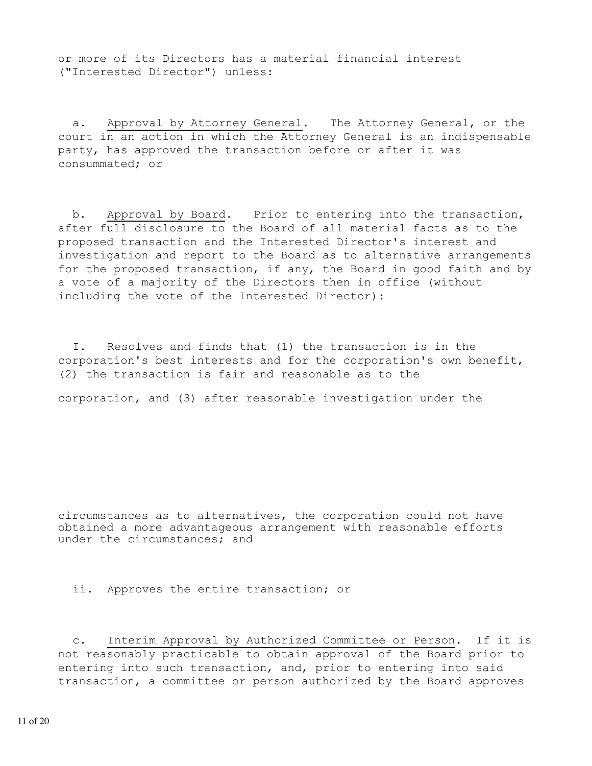or more of its Directors has a material financial interest ("Interested Director") unless:

 a. Approval by Attorney General. The Attorney General, or the court in an action in which the Attorney General is an indispensable party, has approved the transaction before or after it was consummated; or

 b. Approval by Board. Prior to entering into the transaction, after full disclosure to the Board of all material facts as to the proposed transaction and the Interested Director's interest and investigation and report to the Board as to alternative arrangements for the proposed transaction, if any, the Board in good faith and by a vote of a majority of the Directors then in office (without including the vote of the Interested Director):

 I. Resolves and finds that (1) the transaction is in the corporation's best interests and for the corporation's own benefit, (2) the transaction is fair and reasonable as to the

corporation, and (3) after reasonable investigation under the

circumstances as to alternatives, the corporation could not have obtained a more advantageous arrangement with reasonable efforts under the circumstances; and

ii. Approves the entire transaction; or

 c. Interim Approval by Authorized Committee or Person. If it is not reasonably practicable to obtain approval of the Board prior to entering into such transaction, and, prior to entering into said transaction, a committee or person authorized by the Board approves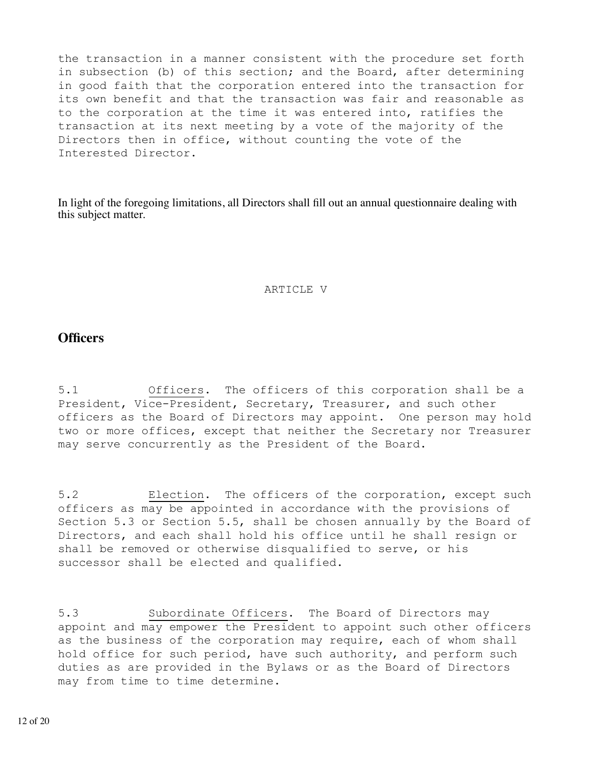the transaction in a manner consistent with the procedure set forth in subsection (b) of this section; and the Board, after determining in good faith that the corporation entered into the transaction for its own benefit and that the transaction was fair and reasonable as to the corporation at the time it was entered into, ratifies the transaction at its next meeting by a vote of the majority of the Directors then in office, without counting the vote of the Interested Director.

In light of the foregoing limitations, all Directors shall fill out an annual questionnaire dealing with this subject matter.

#### ARTICLE V

### **Officers**

5.1 Officers. The officers of this corporation shall be a President, Vice-President, Secretary, Treasurer, and such other officers as the Board of Directors may appoint. One person may hold two or more offices, except that neither the Secretary nor Treasurer may serve concurrently as the President of the Board.

5.2 Election. The officers of the corporation, except such officers as may be appointed in accordance with the provisions of Section 5.3 or Section 5.5, shall be chosen annually by the Board of Directors, and each shall hold his office until he shall resign or shall be removed or otherwise disqualified to serve, or his successor shall be elected and qualified.

5.3 Subordinate Officers. The Board of Directors may appoint and may empower the President to appoint such other officers as the business of the corporation may require, each of whom shall hold office for such period, have such authority, and perform such duties as are provided in the Bylaws or as the Board of Directors may from time to time determine.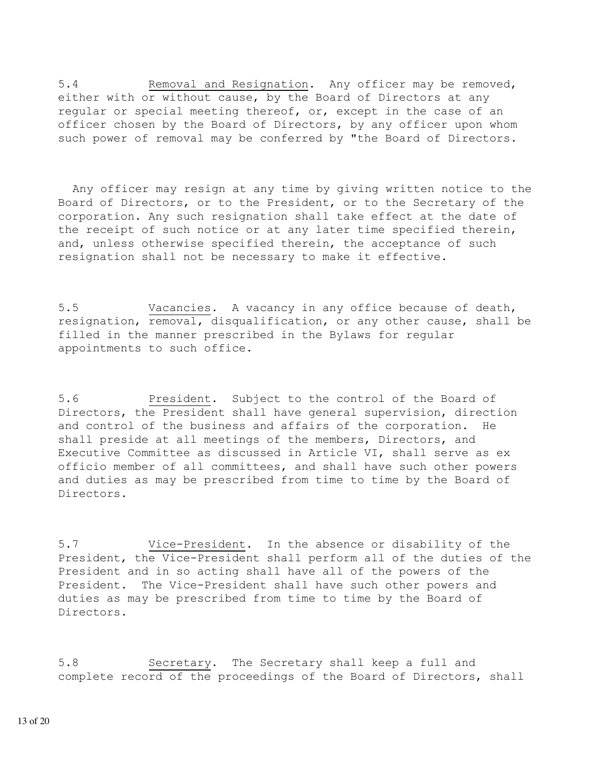5.4 Removal and Resignation. Any officer may be removed, either with or without cause, by the Board of Directors at any regular or special meeting thereof, or, except in the case of an officer chosen by the Board of Directors, by any officer upon whom such power of removal may be conferred by "the Board of Directors.

 Any officer may resign at any time by giving written notice to the Board of Directors, or to the President, or to the Secretary of the corporation. Any such resignation shall take effect at the date of the receipt of such notice or at any later time specified therein, and, unless otherwise specified therein, the acceptance of such resignation shall not be necessary to make it effective.

5.5 Vacancies. A vacancy in any office because of death, resignation, removal, disqualification, or any other cause, shall be filled in the manner prescribed in the Bylaws for regular appointments to such office.

5.6 President. Subject to the control of the Board of Directors, the President shall have general supervision, direction and control of the business and affairs of the corporation. He shall preside at all meetings of the members, Directors, and Executive Committee as discussed in Article VI, shall serve as ex officio member of all committees, and shall have such other powers and duties as may be prescribed from time to time by the Board of Directors.

5.7 Vice-President. In the absence or disability of the President, the Vice-President shall perform all of the duties of the President and in so acting shall have all of the powers of the President. The Vice-President shall have such other powers and duties as may be prescribed from time to time by the Board of Directors.

5.8 Secretary. The Secretary shall keep a full and complete record of the proceedings of the Board of Directors, shall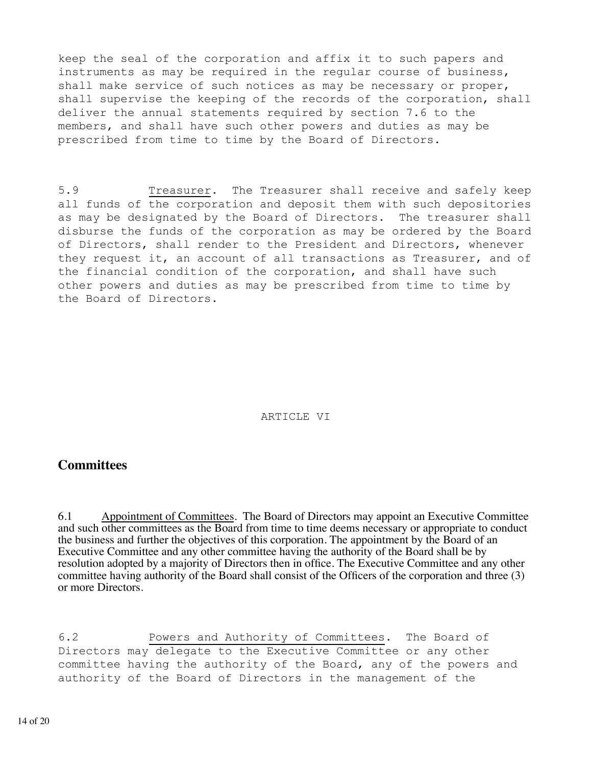keep the seal of the corporation and affix it to such papers and instruments as may be required in the regular course of business, shall make service of such notices as may be necessary or proper, shall supervise the keeping of the records of the corporation, shall deliver the annual statements required by section 7.6 to the members, and shall have such other powers and duties as may be prescribed from time to time by the Board of Directors.

5.9 Treasurer. The Treasurer shall receive and safely keep all funds of the corporation and deposit them with such depositories as may be designated by the Board of Directors. The treasurer shall disburse the funds of the corporation as may be ordered by the Board of Directors, shall render to the President and Directors, whenever they request it, an account of all transactions as Treasurer, and of the financial condition of the corporation, and shall have such other powers and duties as may be prescribed from time to time by the Board of Directors.

#### ARTICLE VI

### **Committees**

6.1 Appointment of Committees. The Board of Directors may appoint an Executive Committee and such other committees as the Board from time to time deems necessary or appropriate to conduct the business and further the objectives of this corporation. The appointment by the Board of an Executive Committee and any other committee having the authority of the Board shall be by resolution adopted by a majority of Directors then in office. The Executive Committee and any other committee having authority of the Board shall consist of the Officers of the corporation and three (3) or more Directors.

6.2 Powers and Authority of Committees. The Board of Directors may delegate to the Executive Committee or any other committee having the authority of the Board, any of the powers and authority of the Board of Directors in the management of the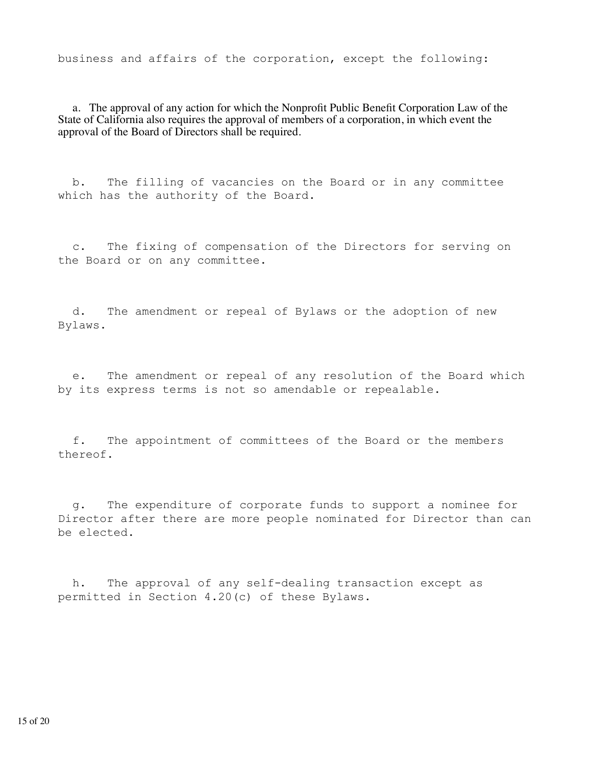business and affairs of the corporation, except the following:

 a. The approval of any action for which the Nonprofit Public Benefit Corporation Law of the State of California also requires the approval of members of a corporation, in which event the approval of the Board of Directors shall be required.

 b. The filling of vacancies on the Board or in any committee which has the authority of the Board.

 c. The fixing of compensation of the Directors for serving on the Board or on any committee.

 d. The amendment or repeal of Bylaws or the adoption of new Bylaws.

 e. The amendment or repeal of any resolution of the Board which by its express terms is not so amendable or repealable.

 f. The appointment of committees of the Board or the members thereof.

 g. The expenditure of corporate funds to support a nominee for Director after there are more people nominated for Director than can be elected.

 h. The approval of any self-dealing transaction except as permitted in Section 4.20(c) of these Bylaws.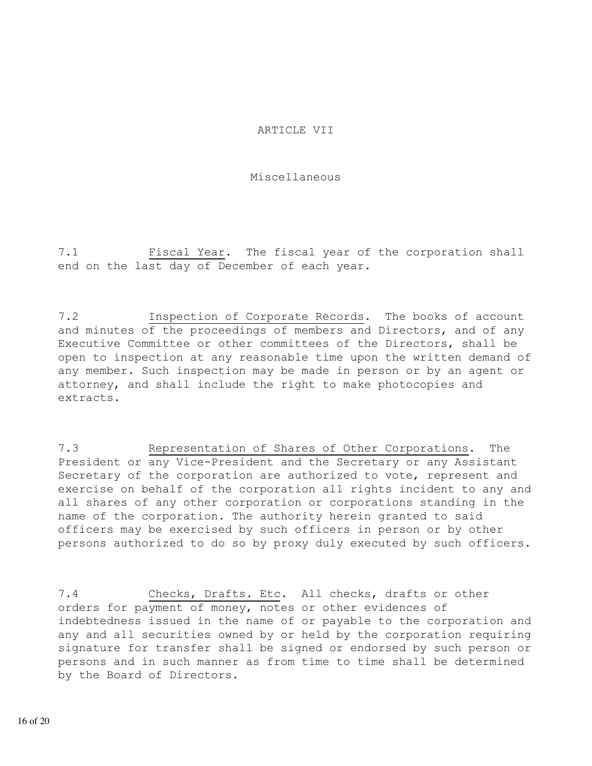#### ARTICLE VII

#### Miscellaneous

7.1 Fiscal Year. The fiscal year of the corporation shall end on the last day of December of each year.

7.2 Inspection of Corporate Records. The books of account and minutes of the proceedings of members and Directors, and of any Executive Committee or other committees of the Directors, shall be open to inspection at any reasonable time upon the written demand of any member. Such inspection may be made in person or by an agent or attorney, and shall include the right to make photocopies and extracts.

7.3 Representation of Shares of Other Corporations. The President or any Vice-President and the Secretary or any Assistant Secretary of the corporation are authorized to vote, represent and exercise on behalf of the corporation all rights incident to any and all shares of any other corporation or corporations standing in the name of the corporation. The authority herein granted to said officers may be exercised by such officers in person or by other persons authorized to do so by proxy duly executed by such officers.

7.4 Checks, Drafts. Etc. All checks, drafts or other orders for payment of money, notes or other evidences of indebtedness issued in the name of or payable to the corporation and any and all securities owned by or held by the corporation requiring signature for transfer shall be signed or endorsed by such person or persons and in such manner as from time to time shall be determined by the Board of Directors.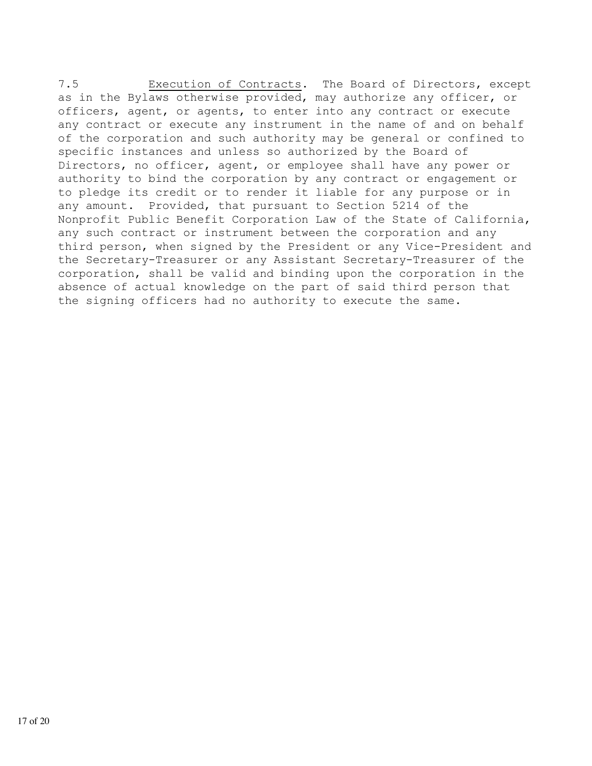7.5 Execution of Contracts. The Board of Directors, except as in the Bylaws otherwise provided, may authorize any officer, or officers, agent, or agents, to enter into any contract or execute any contract or execute any instrument in the name of and on behalf of the corporation and such authority may be general or confined to specific instances and unless so authorized by the Board of Directors, no officer, agent, or employee shall have any power or authority to bind the corporation by any contract or engagement or to pledge its credit or to render it liable for any purpose or in any amount. Provided, that pursuant to Section 5214 of the Nonprofit Public Benefit Corporation Law of the State of California, any such contract or instrument between the corporation and any third person, when signed by the President or any Vice-President and the Secretary-Treasurer or any Assistant Secretary-Treasurer of the corporation, shall be valid and binding upon the corporation in the absence of actual knowledge on the part of said third person that the signing officers had no authority to execute the same.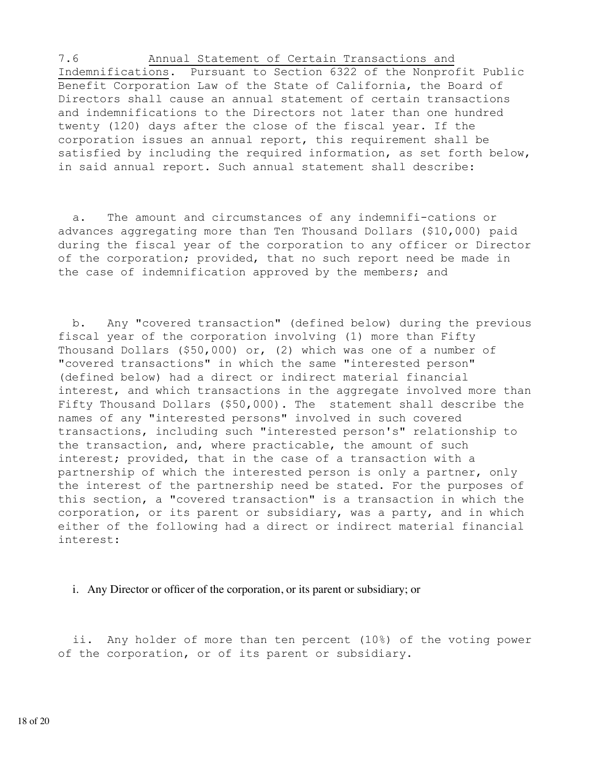7.6 Annual Statement of Certain Transactions and Indemnifications. Pursuant to Section 6322 of the Nonprofit Public Benefit Corporation Law of the State of California, the Board of Directors shall cause an annual statement of certain transactions and indemnifications to the Directors not later than one hundred twenty (120) days after the close of the fiscal year. If the corporation issues an annual report, this requirement shall be satisfied by including the required information, as set forth below, in said annual report. Such annual statement shall describe:

 a. The amount and circumstances of any indemnifi-cations or advances aggregating more than Ten Thousand Dollars (\$10,000) paid during the fiscal year of the corporation to any officer or Director of the corporation; provided, that no such report need be made in the case of indemnification approved by the members; and

 b. Any "covered transaction" (defined below) during the previous fiscal year of the corporation involving (1) more than Fifty Thousand Dollars (\$50,000) or, (2) which was one of a number of "covered transactions" in which the same "interested person" (defined below) had a direct or indirect material financial interest, and which transactions in the aggregate involved more than Fifty Thousand Dollars (\$50,000). The statement shall describe the names of any "interested persons" involved in such covered transactions, including such "interested person's" relationship to the transaction, and, where practicable, the amount of such interest; provided, that in the case of a transaction with a partnership of which the interested person is only a partner, only the interest of the partnership need be stated. For the purposes of this section, a "covered transaction" is a transaction in which the corporation, or its parent or subsidiary, was a party, and in which either of the following had a direct or indirect material financial interest:

#### i. Any Director or officer of the corporation, or its parent or subsidiary; or

 ii. Any holder of more than ten percent (10%) of the voting power of the corporation, or of its parent or subsidiary.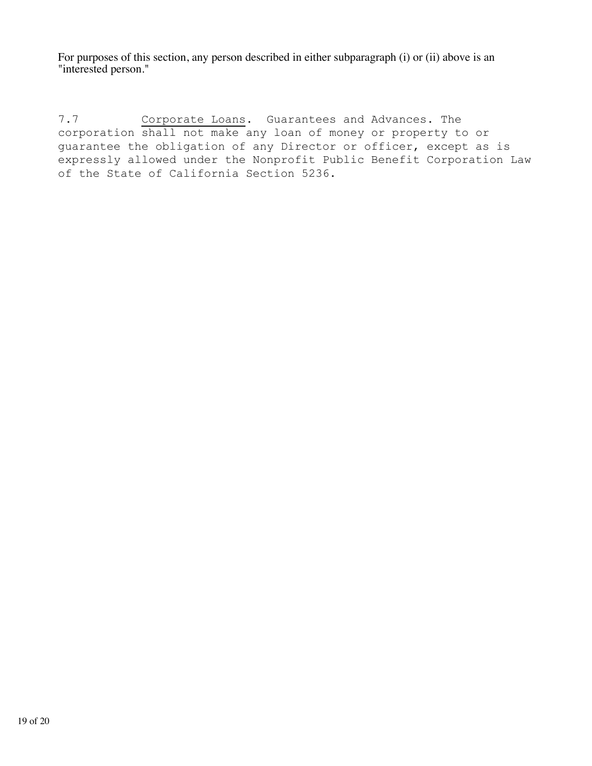For purposes of this section, any person described in either subparagraph (i) or (ii) above is an "interested person."

7.7 Corporate Loans. Guarantees and Advances. The corporation shall not make any loan of money or property to or guarantee the obligation of any Director or officer, except as is expressly allowed under the Nonprofit Public Benefit Corporation Law of the State of California Section 5236.